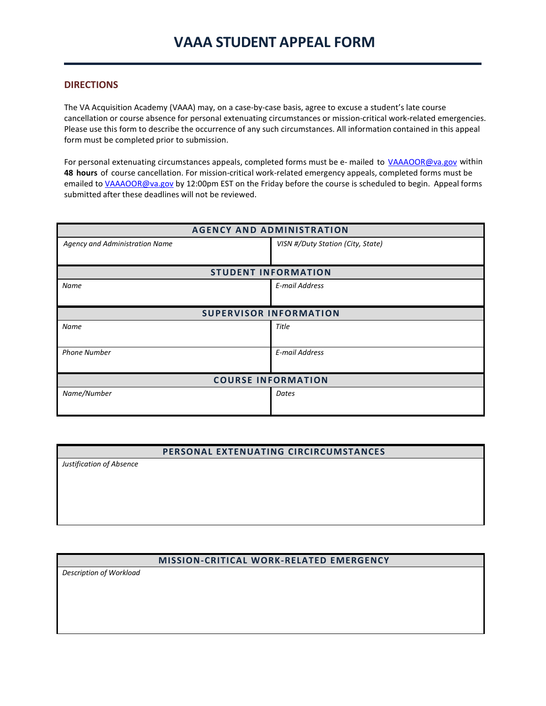### **DIRECTIONS**

The VA Acquisition Academy (VAAA) may, on a case-by-case basis, agree to excuse a student's late course cancellation or course absence for personal extenuating circumstances or mission-critical work-related emergencies. Please use this form to describe the occurrence of any such circumstances. All information contained in this appeal form must be completed prior to submission.

For personal extenuating circumstances appeals, completed forms must be e- mailed to [VAAAOOR@va.gov](mailto:VAAAOOR@va.gov) within **48 hours** of course cancellation. For mission-critical work-related emergency appeals, completed forms must be emailed t[o VAAAOOR@va.gov](mailto:VAAAOOR@va.gov) by 12:00pm EST on the Friday before the course is scheduled to begin. Appeal forms submitted after these deadlines will not be reviewed.

| <b>AGENCY AND ADMINISTRATION</b> |                                   |  |
|----------------------------------|-----------------------------------|--|
| Agency and Administration Name   | VISN #/Duty Station (City, State) |  |
|                                  |                                   |  |
| <b>STUDENT INFORMATION</b>       |                                   |  |
| <b>Name</b>                      | E-mail Address                    |  |
|                                  |                                   |  |
| <b>SUPERVISOR INFORMATION</b>    |                                   |  |
| Name                             | Title                             |  |
|                                  |                                   |  |
| <b>Phone Number</b>              | E-mail Address                    |  |
|                                  |                                   |  |
| <b>COURSE INFORMATION</b>        |                                   |  |
| Name/Number                      | Dates                             |  |
|                                  |                                   |  |

## **PERSONAL EXTENUATING CIRCIRCUMSTANCES**

*Justification of Absence*

# **MISSION-CRITICAL WORK-RELATED EMERGENCY**

*Description of Workload*